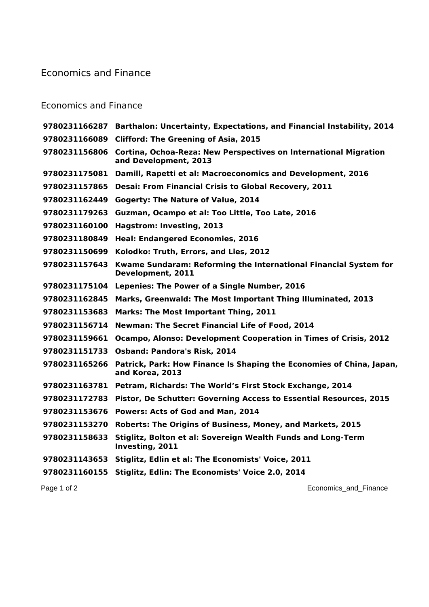## Economics and Finance

## Economics and Finance

| 9780231166287 Barthalon: Uncertainty, Expectations, and Financial Instability, 2014                        |
|------------------------------------------------------------------------------------------------------------|
| <b>Clifford: The Greening of Asia, 2015</b><br>9780231166089                                               |
| 9780231156806<br>Cortina, Ochoa-Reza: New Perspectives on International Migration<br>and Development, 2013 |
| Damill, Rapetti et al: Macroeconomics and Development, 2016                                                |
| <b>Desai: From Financial Crisis to Global Recovery, 2011</b>                                               |
| <b>Gogerty: The Nature of Value, 2014</b>                                                                  |
| Guzman, Ocampo et al: Too Little, Too Late, 2016                                                           |
| Hagstrom: Investing, 2013                                                                                  |
| <b>Heal: Endangered Economies, 2016</b>                                                                    |
| Kolodko: Truth, Errors, and Lies, 2012                                                                     |
| Kwame Sundaram: Reforming the International Financial System for<br>Development, 2011                      |
| 9780231175104<br>Lepenies: The Power of a Single Number, 2016                                              |
| Marks, Greenwald: The Most Important Thing Illuminated, 2013                                               |
| <b>Marks: The Most Important Thing, 2011</b>                                                               |
| <b>Newman: The Secret Financial Life of Food, 2014</b>                                                     |
| Ocampo, Alonso: Development Cooperation in Times of Crisis, 2012<br>9780231159661                          |
| <b>Osband: Pandora's Risk, 2014</b>                                                                        |
| Patrick, Park: How Finance Is Shaping the Economies of China, Japan,<br>9780231165266<br>and Korea, 2013   |
| Petram, Richards: The World's First Stock Exchange, 2014<br>9780231163781                                  |
| Pistor, De Schutter: Governing Access to Essential Resources, 2015                                         |
| <b>Powers: Acts of God and Man, 2014</b>                                                                   |
| Roberts: The Origins of Business, Money, and Markets, 2015                                                 |
| Stiglitz, Bolton et al: Sovereign Wealth Funds and Long-Term<br>Investing, 2011                            |
| Stiglitz, Edlin et al: The Economists' Voice, 2011<br>9780231143653                                        |
| Stiglitz, Edlin: The Economists' Voice 2.0, 2014<br>9780231160155                                          |
| Economics_and_Finance                                                                                      |
|                                                                                                            |